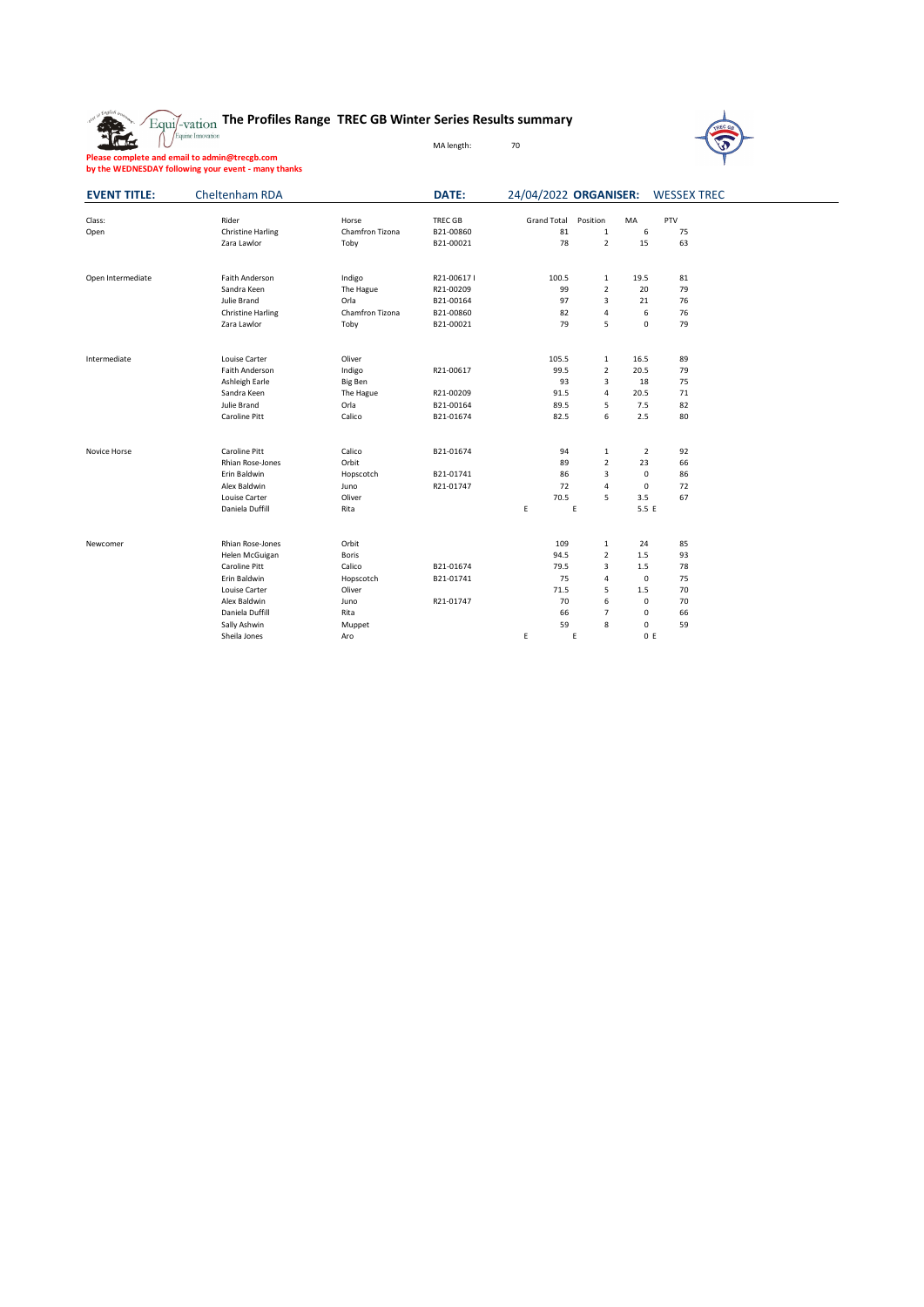**The Profiles Range TREC GB Winter Series Results summary**

MA length: 70



**Please complete and email to admin@trecgb.com by the WEDNESDAY following your event - many thanks**

| <b>EVENT TITLE:</b> | Cheltenham RDA           |                 | DATE:          |                    |                |                | 24/04/2022 ORGANISER: WESSEX TREC |
|---------------------|--------------------------|-----------------|----------------|--------------------|----------------|----------------|-----------------------------------|
| Class:              | Rider                    | Horse           | <b>TREC GB</b> | <b>Grand Total</b> | Position       | MA             | PTV                               |
| Open                | <b>Christine Harling</b> | Chamfron Tizona | B21-00860      | 81                 | $\mathbf{1}$   | 6              | 75                                |
|                     | Zara Lawlor              | Toby            | B21-00021      | 78                 | $\overline{2}$ | 15             | 63                                |
|                     |                          |                 |                |                    |                |                |                                   |
| Open Intermediate   | Faith Anderson           | Indigo          | R21-006171     | 100.5              | $\mathbf 1$    | 19.5           | 81                                |
|                     | Sandra Keen              | The Hague       | R21-00209      | 99                 | $\overline{2}$ | 20             | 79                                |
|                     | Julie Brand              | Orla            | B21-00164      | 97                 | 3              | 21             | 76                                |
|                     | <b>Christine Harling</b> | Chamfron Tizona | B21-00860      | 82                 | 4              | 6              | 76                                |
|                     | Zara Lawlor              | Toby            | B21-00021      | 79                 | 5              | 0              | 79                                |
| Intermediate        | Louise Carter            | Oliver          |                | 105.5              | $\mathbf{1}$   | 16.5           | 89                                |
|                     | Faith Anderson           | Indigo          | R21-00617      | 99.5               | $\overline{2}$ | 20.5           | 79                                |
|                     | Ashleigh Earle           | <b>Big Ben</b>  |                | 93                 | 3              | 18             | 75                                |
|                     | Sandra Keen              | The Hague       | R21-00209      | 91.5               | $\overline{4}$ | 20.5           | 71                                |
|                     | Julie Brand              | Orla            | B21-00164      | 89.5               | 5              | 7.5            | 82                                |
|                     | Caroline Pitt            | Calico          | B21-01674      | 82.5               | 6              | 2.5            | 80                                |
| Novice Horse        | Caroline Pitt            | Calico          | B21-01674      | 94                 | $\mathbf{1}$   | $\overline{2}$ | 92                                |
|                     | Rhian Rose-Jones         | Orbit           |                | 89                 | $\overline{2}$ | 23             | 66                                |
|                     | Erin Baldwin             | Hopscotch       | B21-01741      | 86                 | 3              | $\mathbf 0$    | 86                                |
|                     | Alex Baldwin             | Juno            | R21-01747      | 72                 | 4              | $\mathbf 0$    | 72                                |
|                     | Louise Carter            | Oliver          |                | 70.5               | 5              | 3.5            | 67                                |
|                     | Daniela Duffill          | Rita            |                | E                  | E              | 5.5 E          |                                   |
| Newcomer            | Rhian Rose-Jones         | Orbit           |                | 109                | $\mathbf 1$    | 24             | 85                                |
|                     | Helen McGuigan           | <b>Boris</b>    |                | 94.5               | $\overline{2}$ | 1.5            | 93                                |
|                     | Caroline Pitt            | Calico          | B21-01674      | 79.5               | 3              | 1.5            | 78                                |
|                     | Erin Baldwin             | Hopscotch       | B21-01741      | 75                 | 4              | $\mathbf 0$    | 75                                |
|                     | Louise Carter            | Oliver          |                | 71.5               | 5              | 1.5            | 70                                |
|                     | Alex Baldwin             | Juno            | R21-01747      | 70                 | 6              | 0              | 70                                |
|                     | Daniela Duffill          | Rita            |                | 66                 | $\overline{7}$ | 0              | 66                                |
|                     | Sally Ashwin             | Muppet          |                | 59                 | 8              | 0              | 59                                |
|                     | Sheila Jones             | Aro             |                | E                  | Ε              | 0 E            |                                   |
|                     |                          |                 |                |                    |                |                |                                   |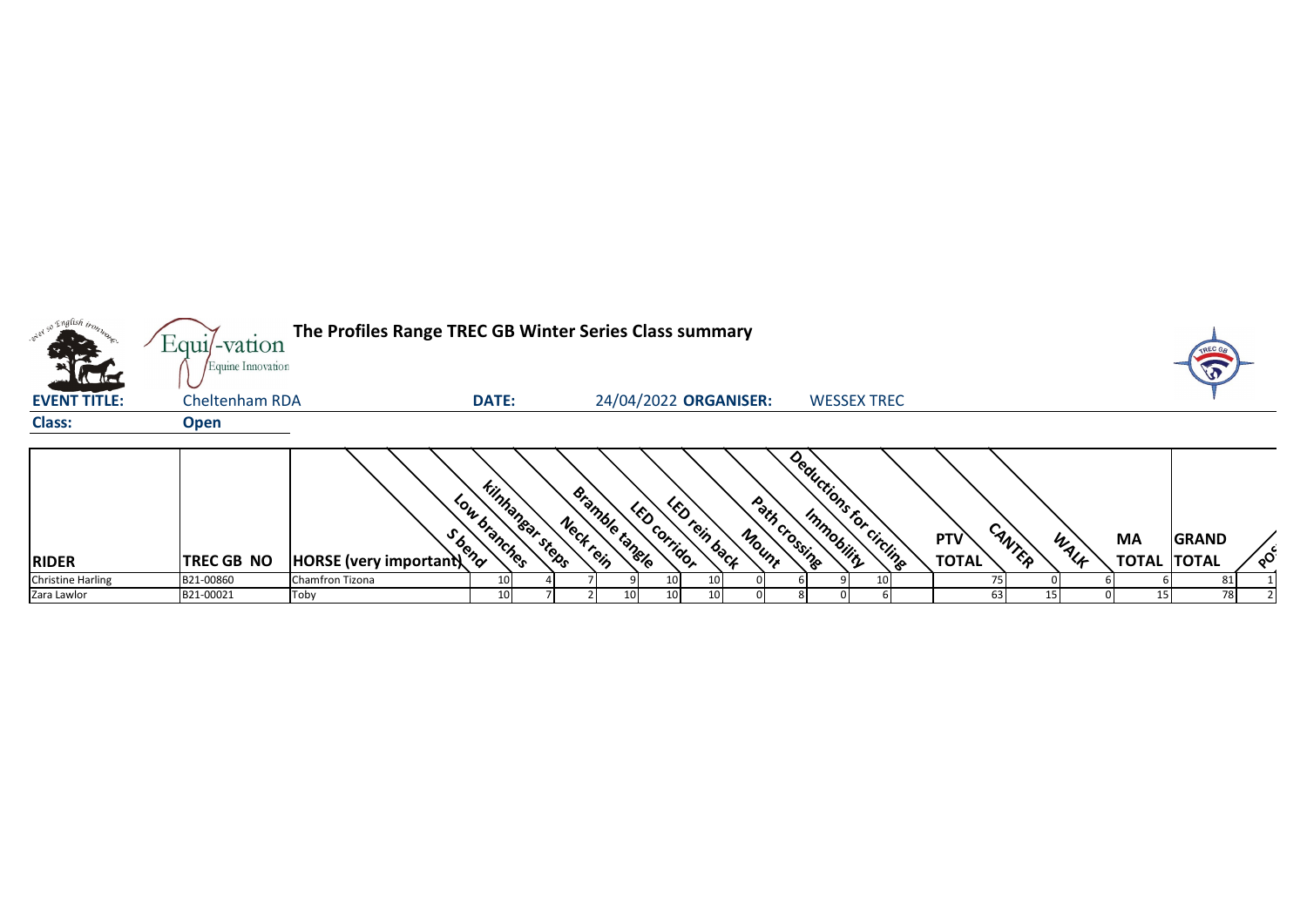| a English <sub>trop</sub> | Equi/-vation                        | The Profiles Range TREC GB Winter Series Class summary |              |                        |                            |                       |               |       |                                          |                    |                     |        |      |                                 | TREC G       |                 |
|---------------------------|-------------------------------------|--------------------------------------------------------|--------------|------------------------|----------------------------|-----------------------|---------------|-------|------------------------------------------|--------------------|---------------------|--------|------|---------------------------------|--------------|-----------------|
| <b>EVENT TITLE:</b>       | Equine Innovation<br>Cheltenham RDA |                                                        | <b>DATE:</b> |                        |                            | 24/04/2022 ORGANISER: |               |       |                                          | <b>WESSEX TREC</b> |                     |        |      |                                 |              |                 |
| <b>Class:</b>             | <b>Open</b>                         |                                                        |              |                        |                            |                       |               |       |                                          |                    |                     |        |      |                                 |              |                 |
| <b>RIDER</b>              | TREC GB NO                          | HORSE (very important) 3                               | Low branches | <b>Kinhanear steps</b> | eramble tangle<br>Neckrein | LED COrridor          | LED rein back | Mount | Deductions for circling<br>Path crossing |                    | PTV<br><b>TOTAL</b> | CANTER | WALF | <b>MA</b><br><b>TOTAL TOTAL</b> | <b>GRAND</b> | $\circ^{\circ}$ |
|                           |                                     |                                                        |              |                        |                            |                       |               |       |                                          |                    |                     |        |      |                                 |              |                 |
| <b>Christine Harling</b>  | B21-00860                           | Chamfron Tizona                                        | 10           |                        |                            |                       |               |       |                                          |                    |                     |        |      |                                 | 81           |                 |
| Zara Lawlor               | B21-00021                           | Toby                                                   | 10           |                        |                            | 10                    |               |       |                                          |                    | 63                  |        |      | 15                              | 78           |                 |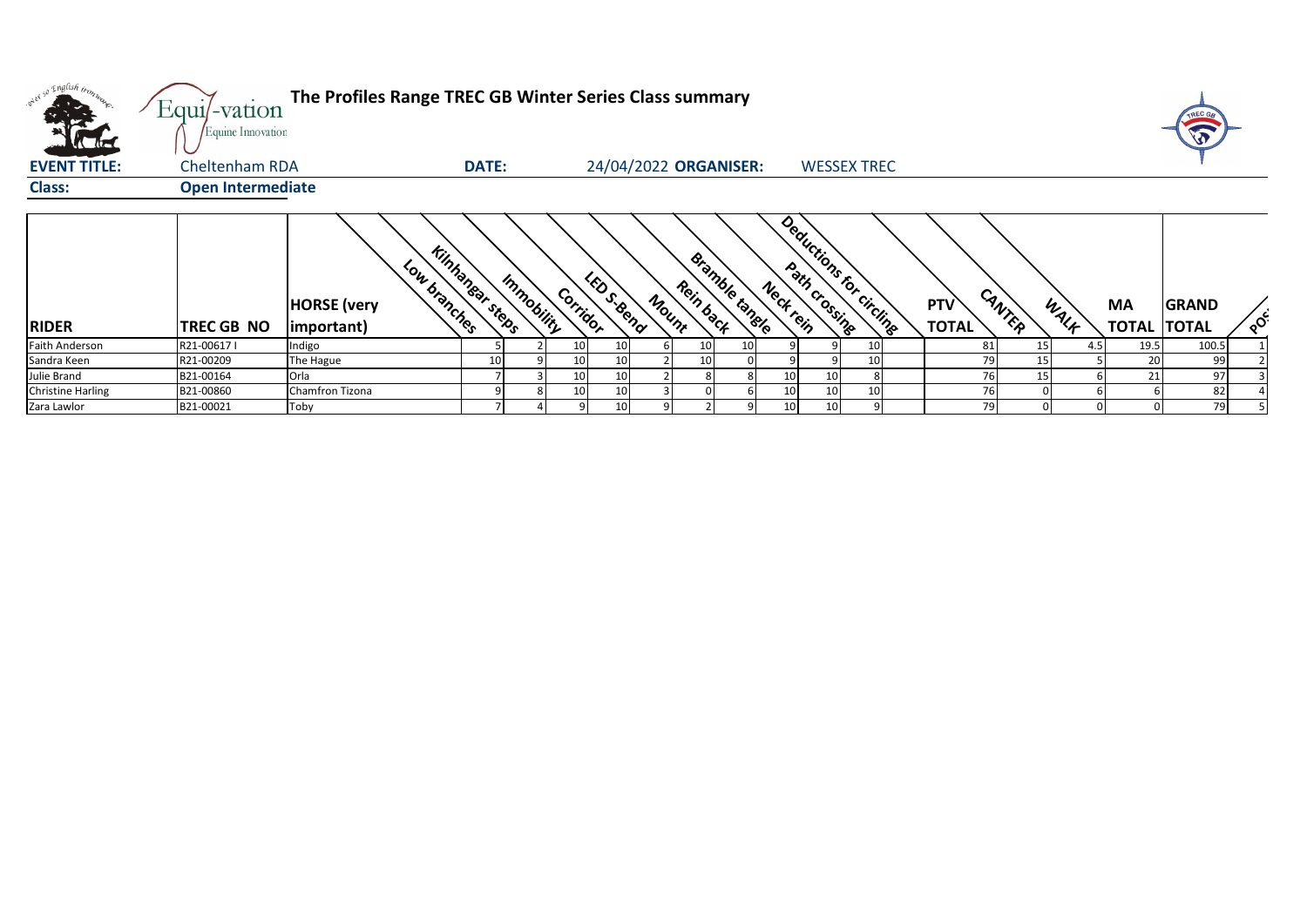| onel so English trons.   | $Equi$ -vation<br>Equine Innovation | The Profiles Range TREC GB Winter Series Class summary                     |              |            |          |                    |       |                             |    |          |                          |                            |        |      |                                 | TREC G<br>W  |                 |
|--------------------------|-------------------------------------|----------------------------------------------------------------------------|--------------|------------|----------|--------------------|-------|-----------------------------|----|----------|--------------------------|----------------------------|--------|------|---------------------------------|--------------|-----------------|
| <b>EVENT TITLE:</b>      | Cheltenham RDA                      |                                                                            | <b>DATE:</b> |            |          |                    |       | 24/04/2022 ORGANISER:       |    |          | <b>WESSEX TREC</b>       |                            |        |      |                                 |              |                 |
| <b>Class:</b>            | <b>Open Intermediate</b>            |                                                                            |              |            |          |                    |       |                             |    |          |                          |                            |        |      |                                 |              |                 |
| <b>RIDER</b>             | TREC GB NO                          | <b>Kinhanear steps</b><br>Low branches<br><b>HORSE</b> (very<br>important) |              | Immobility | Corridor | <b>Liberal Car</b> | Mount | Bramble tangle<br>Rein back |    | Nectrein | Deductions for circlings | <b>PTV</b><br><b>TOTAL</b> | CANTER | WALK | <b>MA</b><br><b>TOTAL TOTAL</b> | <b>GRAND</b> | $\circ^{\circ}$ |
| <b>Faith Anderson</b>    | R21-006171                          | Indigo                                                                     |              |            | 10       | 10                 |       | 10                          | 10 |          |                          | 81                         | 15     | 4.5  | 19.5                            | 100.5        |                 |
| Sandra Keen              | R21-00209                           | The Hague                                                                  | 10           |            | 10       | 10                 |       | 10                          |    |          |                          | 79                         | 15     |      | 20                              | 99           |                 |
| Julie Brand              | B21-00164                           | Orla                                                                       |              |            | 10       | 10                 |       |                             |    |          |                          | 76                         | 15     |      | 21                              | 97           |                 |
| <b>Christine Harling</b> | B21-00860                           | Chamfron Tizona                                                            |              |            | 10       | 10                 |       |                             |    | 10       |                          | 76                         |        |      |                                 | 82           |                 |
| Zara Lawlor              | B21-00021                           | Toby                                                                       |              |            |          | 10                 |       |                             |    | 10       |                          | 79                         |        |      |                                 | 79           |                 |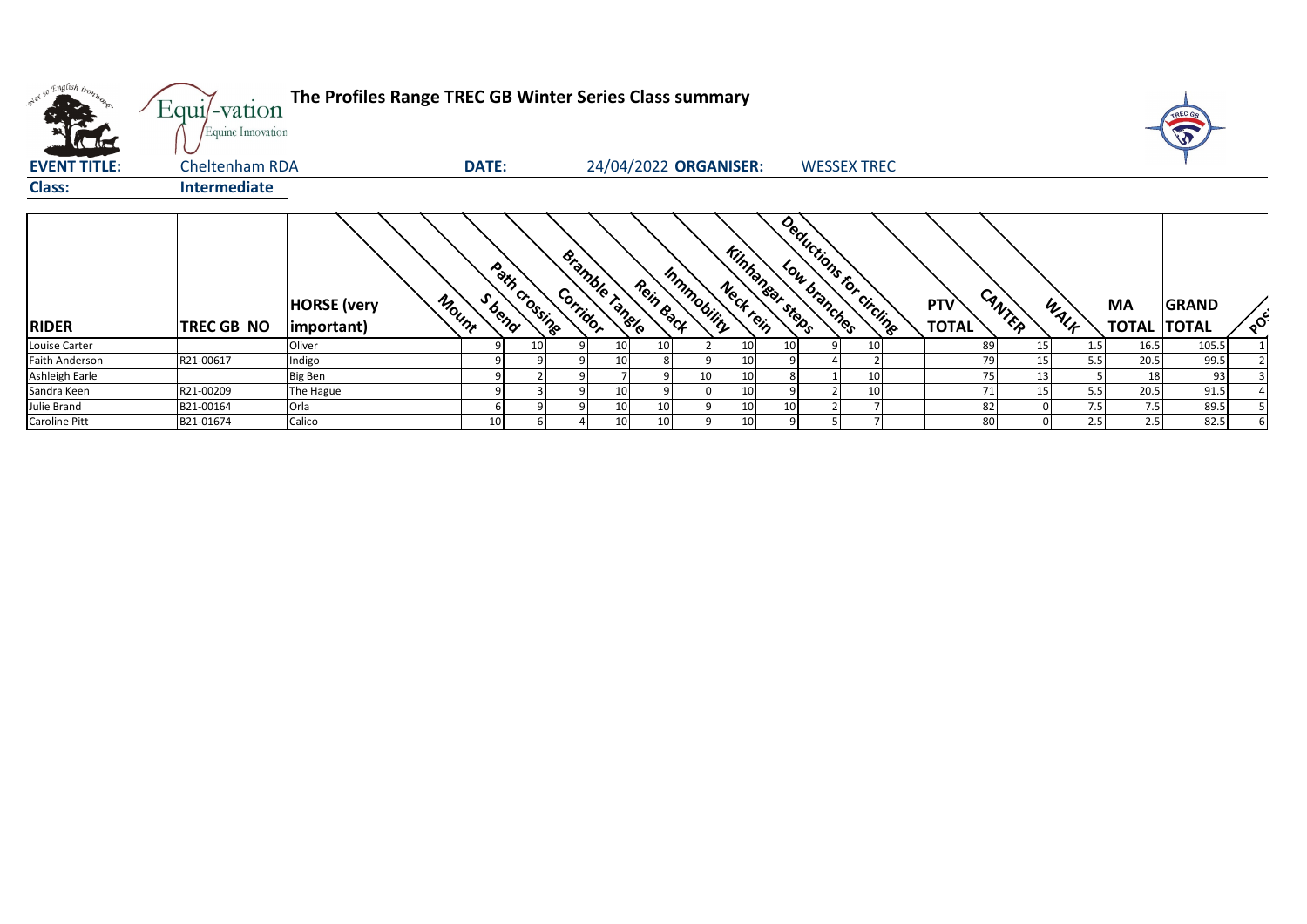| onel so English tronz | Equi/-vation<br>Equine Innovation | The Profiles Range TREC GB Winter Series Class summary |              |                 |          |                       |                 |                 |                                    |    |                          |                     |        |      |                                 | TREC GA      |          |
|-----------------------|-----------------------------------|--------------------------------------------------------|--------------|-----------------|----------|-----------------------|-----------------|-----------------|------------------------------------|----|--------------------------|---------------------|--------|------|---------------------------------|--------------|----------|
| <b>EVENT TITLE:</b>   | Cheltenham RDA                    |                                                        | <b>DATE:</b> |                 |          | 24/04/2022 ORGANISER: |                 |                 |                                    |    | <b>WESSEX TREC</b>       |                     |        |      |                                 |              |          |
| <b>Class:</b>         | <b>Intermediate</b>               |                                                        |              |                 |          |                       |                 |                 |                                    |    |                          |                     |        |      |                                 |              |          |
| <b>RIDER</b>          | <b>TREC GB NO</b>                 | Mount<br><b>HORSE</b> (very<br>important)              | S bend       | Path crossing   | Corridor | Bramble Tangle        | Rein Back       | Inmmobility     | <b>Kinhangar steps</b><br>Neckrein |    | Deductions for circlings | PTV<br><b>TOTAL</b> | CANTER | WALK | <b>MA</b><br><b>TOTAL TOTAL</b> | <b>GRAND</b> | $\delta$ |
| Louise Carter         |                                   | Oliver                                                 |              | 10 <sup>1</sup> |          | 10                    | 10 <sup>1</sup> |                 | 10                                 | 10 |                          | 89                  | 15     | 1.5  | 16.5                            | 105.5        |          |
| <b>Faith Anderson</b> | R21-00617                         | Indigo                                                 |              |                 |          | 10                    | 8               |                 | 10                                 |    |                          | 79                  | 15     | 5.5  | 20.5                            | 99.5         |          |
| Ashleigh Earle        |                                   | <b>Big Ben</b>                                         |              |                 |          |                       |                 | 10 <sup>1</sup> | 10                                 |    |                          | 75                  | 13     |      | 18                              | 93           |          |
| Sandra Keen           | R21-00209                         | The Hague                                              | q            |                 |          | 10                    |                 |                 | 10                                 |    |                          | 71                  | 15     | 5.5  | 20.5                            | 91.5         |          |
| Julie Brand           | B21-00164                         | Orla                                                   |              |                 |          | 10                    | 10 <sup>°</sup> |                 | 10                                 | 10 |                          | 82                  |        | 7.5  | 7.5                             | 89.5         |          |
| Caroline Pitt         | B21-01674                         | Calico                                                 | 10           |                 |          | 10                    | 10 <sup>1</sup> |                 | 10                                 |    |                          | 80                  |        | 2.5  | 2.5                             | 82.5         |          |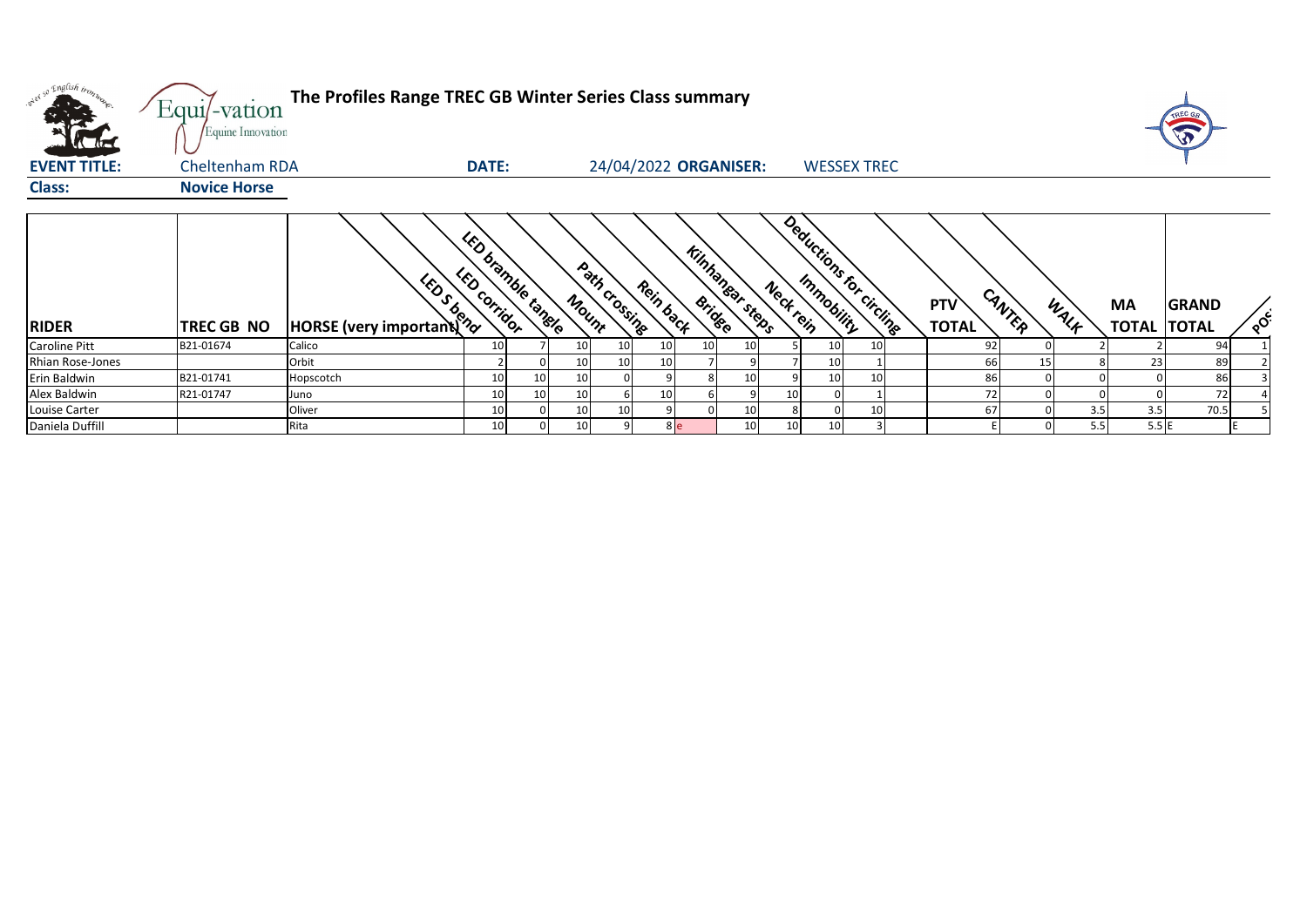| onel so English trong<br><b>ACTES</b> | $Equi$ -vation<br>Equine Innovation | The Profiles Range TREC GB Winter Series Class summary |                                                  |          |                        |                       |                        |                 |                 |                 |                          |                            |        |      |                           | TREC GA                      |          |
|---------------------------------------|-------------------------------------|--------------------------------------------------------|--------------------------------------------------|----------|------------------------|-----------------------|------------------------|-----------------|-----------------|-----------------|--------------------------|----------------------------|--------|------|---------------------------|------------------------------|----------|
| <b>EVENT TITLE:</b>                   | <b>Cheltenham RDA</b>               |                                                        | DATE:                                            |          |                        | 24/04/2022 ORGANISER: |                        |                 |                 |                 | <b>WESSEX TREC</b>       |                            |        |      |                           |                              |          |
| <b>Class:</b>                         | <b>Novice Horse</b>                 |                                                        |                                                  |          |                        |                       |                        |                 |                 |                 |                          |                            |        |      |                           |                              |          |
| <b>RIDER</b>                          | TREC GB NO                          | <b>1997 1999</b><br>PHORSE (very important)            | <b>UED bramble tangle</b><br><b>LED COrridOr</b> |          | Path crossing<br>Mount | Rein back             | <b>Kinhanear steps</b> |                 | Neckrein        |                 | Deductions for circlings | <b>PTV</b><br><b>TOTAL</b> | CANTER | WALK | <b>MA</b><br><b>TOTAL</b> | <b>GRAND</b><br><b>TOTAL</b> | $\delta$ |
| <b>Caroline Pitt</b>                  | B21-01674                           | Calico                                                 | 10                                               |          |                        |                       |                        | 10              |                 | 10 <sub>l</sub> | 10                       | 92                         |        |      |                           | 94                           |          |
| Rhian Rose-Jones                      |                                     | Orbit                                                  |                                                  | 10       |                        |                       |                        |                 |                 | 10              |                          | 66                         | 15     |      | 23                        | 89                           |          |
| Erin Baldwin                          | B21-01741                           | Hopscotch                                              | 10                                               | 10<br>10 |                        |                       |                        | 10 <sup>1</sup> |                 | 10 <sup>1</sup> | 10 <sup>1</sup>          | 86                         |        |      |                           | 86                           |          |
| Alex Baldwin                          | R21-01747                           | Juno                                                   | 10                                               | 10<br>10 |                        |                       |                        |                 | 10 <sup>1</sup> |                 |                          | 72                         |        |      |                           | 72                           |          |
| Louise Carter                         |                                     | Oliver                                                 | 10                                               | 10       |                        |                       |                        | 10              |                 |                 | 10 <sub>l</sub>          | 67                         |        | 3.5  | 3.5                       | 70.5                         |          |
| Daniela Duffill                       |                                     | Rita                                                   | 10                                               | 10       |                        | 8 e                   |                        | 10              | 10 <sup>1</sup> | 10              |                          |                            |        | 5.5  | 5.5E                      |                              |          |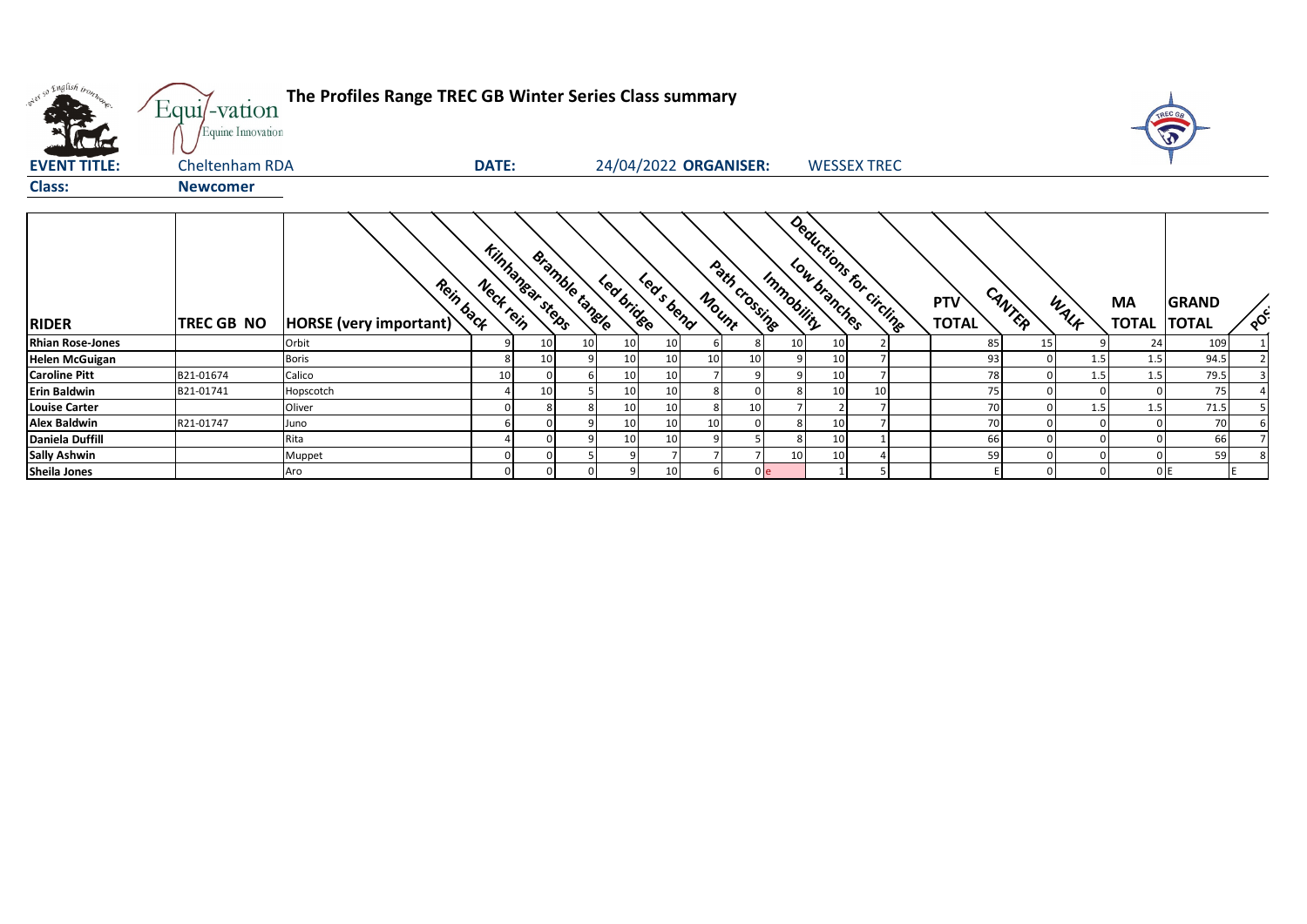| what so English trong   | Equi/-vation<br>Equine Innovation | The Profiles Range TREC GB Winter Series Class summary |              |                        |                       |            |            |                       |                |                 |                          |    |                            |        |      |                           | TREC G<br>W                  |          |
|-------------------------|-----------------------------------|--------------------------------------------------------|--------------|------------------------|-----------------------|------------|------------|-----------------------|----------------|-----------------|--------------------------|----|----------------------------|--------|------|---------------------------|------------------------------|----------|
| <b>EVENT TITLE:</b>     | Cheltenham RDA                    |                                                        | <b>DATE:</b> |                        |                       |            |            | 24/04/2022 ORGANISER: |                |                 | <b>WESSEX TREC</b>       |    |                            |        |      |                           |                              |          |
| <b>Class:</b>           | <b>Newcomer</b>                   |                                                        |              |                        |                       |            |            |                       |                |                 |                          |    |                            |        |      |                           |                              |          |
| <b>RIDER</b>            | <b>TREC GB NO</b>                 | Rein back<br>HORSE (very important)                    | Neck rein    | <b>Kinhanear steps</b> | <b>Bramble tangle</b> | Lea brides | Led s bend | Mount                 | Path crossing  | Immobility      | Deductions for Circlines |    | <b>PTV</b><br><b>TOTAL</b> | CANTER | WALK | <b>MA</b><br><b>TOTAL</b> | <b>GRAND</b><br><b>TOTAL</b> | $\delta$ |
| <b>Rhian Rose-Jones</b> |                                   | Orbit                                                  |              | 10                     | 10 <sup>1</sup>       | 10         | 10         |                       |                | 10 <sup>1</sup> | 10                       |    | 85                         | 15     |      | 24                        | 109                          |          |
| <b>Helen McGuigan</b>   |                                   | <b>Boris</b>                                           |              | 10                     |                       | 10         | 10         | 10                    | 10             |                 | 10                       |    | 93                         |        | 1.5  | 1.5                       | 94.5                         |          |
| <b>Caroline Pitt</b>    | B21-01674                         | Calico                                                 | 10           |                        |                       | 10         | 10         |                       |                |                 | 10                       |    | 78                         |        | 1.5  | 1.5                       | 79.5                         |          |
| <b>Erin Baldwin</b>     | B21-01741                         | Hopscotch                                              |              | 10                     |                       | 10         | 10         |                       |                |                 | 10                       | 10 | 75                         |        |      |                           | 75                           |          |
| <b>Louise Carter</b>    |                                   | Oliver                                                 |              |                        |                       | 10         | 10         |                       | 10             |                 |                          |    | 70                         |        | 1.5  | 1.5                       | 71.5                         |          |
| <b>Alex Baldwin</b>     | R21-01747                         | Juno                                                   |              |                        |                       | 10         | 10         | 10                    |                |                 | 10                       |    | 70                         |        |      |                           | 70                           |          |
| Daniela Duffill         |                                   | Rita                                                   |              |                        |                       | 10         | 10         |                       |                |                 | 10                       |    | 66                         |        |      |                           | 66                           |          |
| <b>Sally Ashwin</b>     |                                   | Muppet                                                 |              |                        |                       |            |            |                       |                | 10              | 10                       |    | 59                         |        |      |                           | 59                           |          |
| <b>Sheila Jones</b>     |                                   | Aro                                                    |              |                        |                       |            | 10         |                       | 0 <sub>e</sub> |                 |                          |    |                            |        |      |                           | 0E                           |          |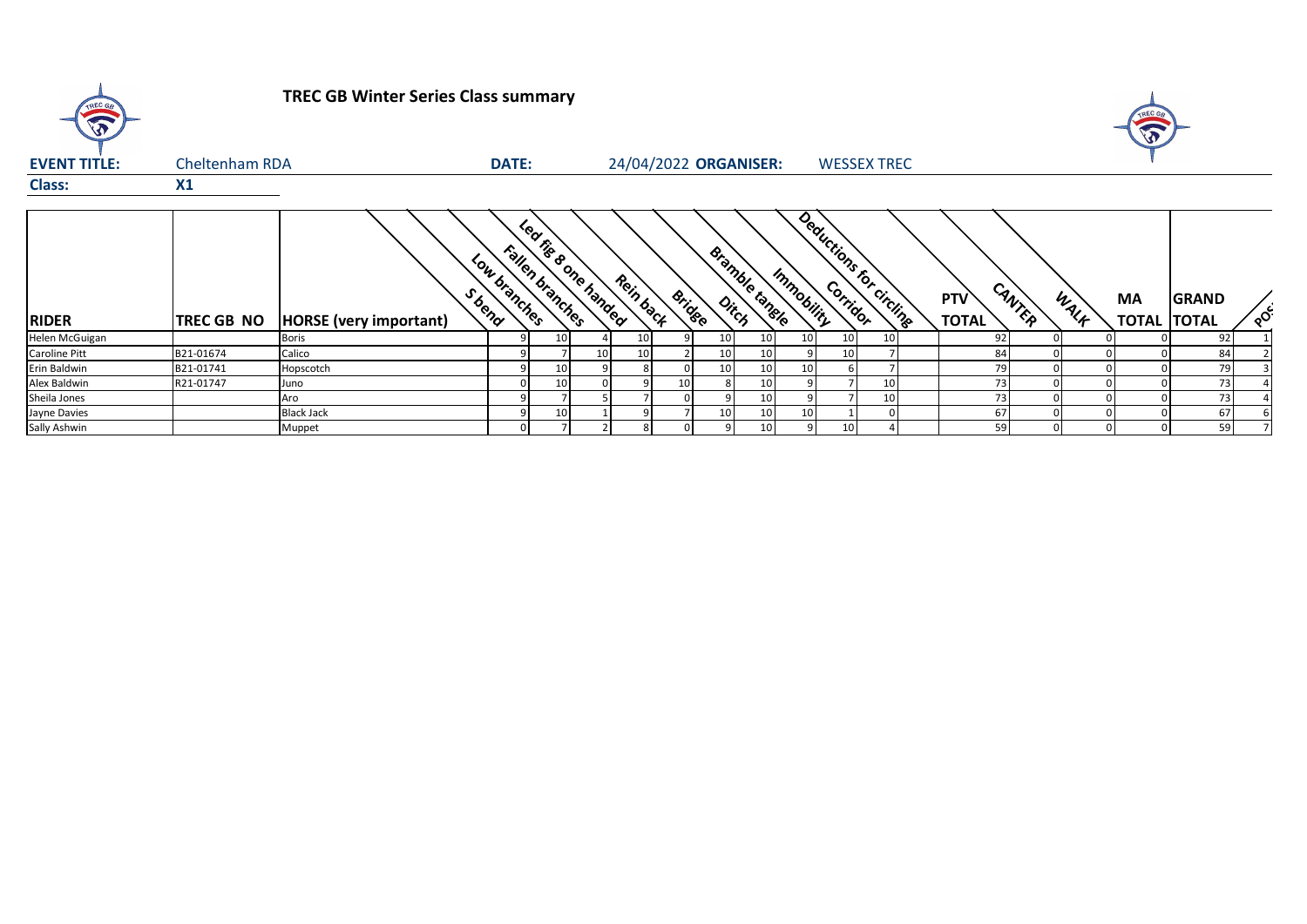| TREC GB             |                | <b>TREC GB Winter Series Class summary</b> |              |                                         |    |                       |               |                       |                 |                          |    |                               |      | TREC GA<br>$\mathbf{\hat{v}}$ |                              |          |
|---------------------|----------------|--------------------------------------------|--------------|-----------------------------------------|----|-----------------------|---------------|-----------------------|-----------------|--------------------------|----|-------------------------------|------|-------------------------------|------------------------------|----------|
| <b>EVENT TITLE:</b> | Cheltenham RDA |                                            | <b>DATE:</b> |                                         |    | 24/04/2022 ORGANISER: |               |                       |                 | <b>WESSEX TREC</b>       |    |                               |      |                               |                              |          |
| <b>Class:</b>       | $X_1$          |                                            |              |                                         |    |                       |               |                       |                 |                          |    |                               |      |                               |                              |          |
| <b>RIDER</b>        | TREC GB NO     | S bend<br><b>HORSE</b> (very important)    | Low branches | Led rise sone handed<br>Fallen branches |    | Rein back             | <b>Bridge</b> | <b>Bramble tangle</b> | Immobility      | Deductions for circlings |    | CANTER<br>PTV<br><b>TOTAL</b> | WALF | <b>MA</b><br><b>TOTAL</b>     | <b>GRAND</b><br><b>TOTAL</b> | $\delta$ |
| Helen McGuigan      |                | <b>Boris</b>                               |              | 10                                      |    |                       |               | 10 <sup>1</sup>       | 10<br>10        | 10                       | 10 | 92                            |      |                               | 92                           |          |
| Caroline Pitt       | B21-01674      | Calico                                     |              |                                         | 10 |                       |               | 10 <sup>1</sup>       | 10              | 10                       |    | 84                            |      |                               | 84                           |          |
| Erin Baldwin        | B21-01741      | Hopscotch                                  |              | 10                                      |    |                       |               | 10                    | 10<br>10        |                          |    | 79                            |      |                               | 79                           |          |
| Alex Baldwin        | R21-01747      | Juno                                       |              | 10                                      |    |                       | 10            |                       | 10              |                          | 10 | 73                            |      |                               | 731                          |          |
| Sheila Jones        |                | Aro                                        |              |                                         |    |                       |               |                       | 10              |                          | 10 | 73                            |      |                               | 73                           |          |
| Jayne Davies        |                | <b>Black Jack</b>                          |              | 10                                      |    |                       |               | 10                    | 10<br>10        |                          |    | 67                            |      |                               | 67                           |          |
| Sally Ashwin        |                | Muppet                                     |              |                                         |    |                       |               |                       | 10 <sup>1</sup> | 10                       |    | 59                            |      |                               | 59                           |          |